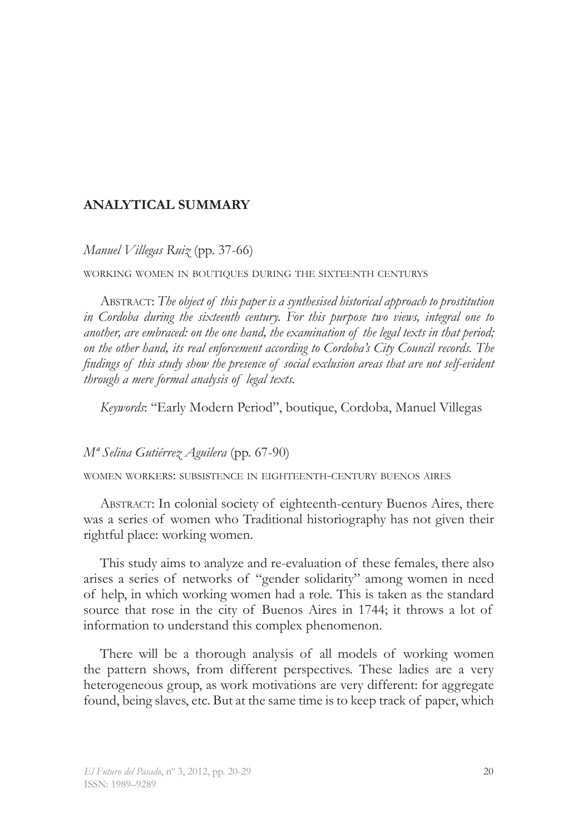## **ANALYTICAL SUMMARY**

*Manuel Villegas Ruiz* (pp. 37-66)

working women in boutiques during the sixteenth centurys

Abstract: *The object of this paper is a synthesised historical approach to prostitution in Cordoba during the sixteenth century. For this purpose two views, integral one to another, are embraced: on the one hand, the examination of the legal texts in that period; on the other hand, its real enforcement according to Cordoba's City Council records. The findings of this study show the presence of social exclusion areas that are not self-evident through a mere formal analysis of legal texts.* 

*Keywords*: "Early Modern Period", boutique, Cordoba, Manuel Villegas

### *Mª Selina Gutiérrez Aguilera* (pp. 67-90)

women workers: subsistence in eighteenth-century buenos aires

Abstract: In colonial society of eighteenth-century Buenos Aires, there was a series of women who Traditional historiography has not given their rightful place: working women.

This study aims to analyze and re-evaluation of these females, there also arises a series of networks of "gender solidarity" among women in need of help, in which working women had a role. This is taken as the standard source that rose in the city of Buenos Aires in 1744; it throws a lot of information to understand this complex phenomenon.

There will be a thorough analysis of all models of working women the pattern shows, from different perspectives. These ladies are a very heterogeneous group, as work motivations are very different: for aggregate found, being slaves, etc. But at the same time is to keep track of paper, which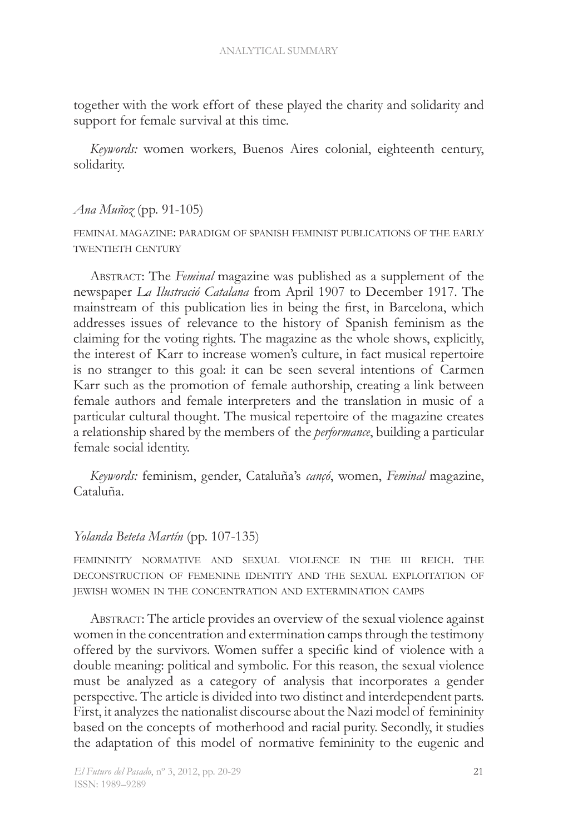together with the work effort of these played the charity and solidarity and support for female survival at this time.

*Keywords:* women workers, Buenos Aires colonial, eighteenth century, solidarity.

### *Ana Muñoz* (pp. 91-105)

feminal magazine: paradigm of spanish feminist publications of the early twentieth century

Abstract: The *Feminal* magazine was published as a supplement of the newspaper *La Ilustració Catalana* from April 1907 to December 1917. The mainstream of this publication lies in being the first, in Barcelona, which addresses issues of relevance to the history of Spanish feminism as the claiming for the voting rights. The magazine as the whole shows, explicitly, the interest of Karr to increase women's culture, in fact musical repertoire is no stranger to this goal: it can be seen several intentions of Carmen Karr such as the promotion of female authorship, creating a link between female authors and female interpreters and the translation in music of a particular cultural thought. The musical repertoire of the magazine creates a relationship shared by the members of the *performance*, building a particular female social identity.

*Keywords:* feminism, gender, Cataluña's *cançó*, women, *Feminal* magazine, Cataluña.

### *Yolanda Beteta Martín* (pp. 107-135)

femininity normative and sexual violence in the iii reich. the deconstruction of femenine identity and the sexual exploitation of jewish women in the concentration and extermination camps

Abstract: The article provides an overview of the sexual violence against women in the concentration and extermination camps through the testimony offered by the survivors. Women suffer a specific kind of violence with a double meaning: political and symbolic. For this reason, the sexual violence must be analyzed as a category of analysis that incorporates a gender perspective. The article is divided into two distinct and interdependent parts. First, it analyzes the nationalist discourse about the Nazi model of femininity based on the concepts of motherhood and racial purity. Secondly, it studies the adaptation of this model of normative femininity to the eugenic and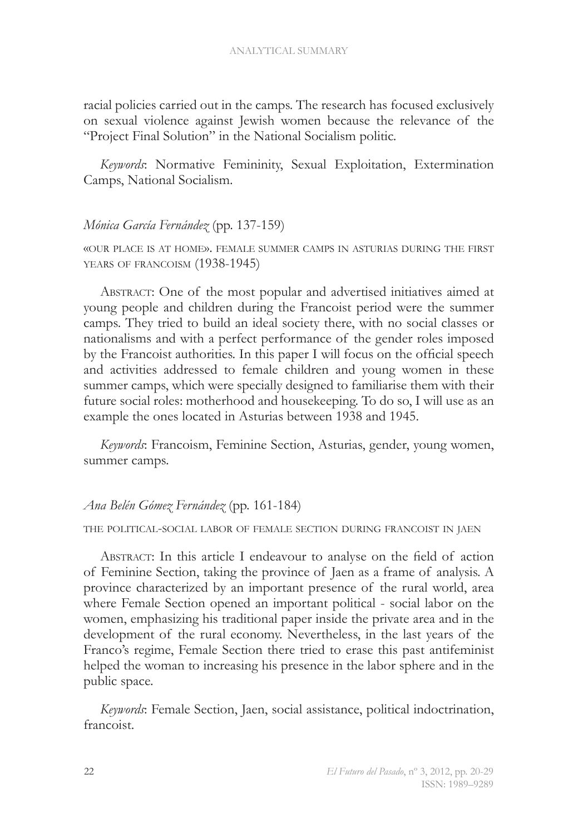racial policies carried out in the camps. The research has focused exclusively on sexual violence against Jewish women because the relevance of the "Project Final Solution" in the National Socialism politic.

*Keywords*: Normative Femininity, Sexual Exploitation, Extermination Camps, National Socialism.

### *Mónica García Fernández* (pp. 137-159)

«our place is at home». female summer camps in asturias during the first YEARS OF FRANCOISM (1938-1945)

Abstract: One of the most popular and advertised initiatives aimed at young people and children during the Francoist period were the summer camps. They tried to build an ideal society there, with no social classes or nationalisms and with a perfect performance of the gender roles imposed by the Francoist authorities. In this paper I will focus on the official speech and activities addressed to female children and young women in these summer camps, which were specially designed to familiarise them with their future social roles: motherhood and housekeeping. To do so, I will use as an example the ones located in Asturias between 1938 and 1945.

*Keywords*: Francoism, Feminine Section, Asturias, gender, young women, summer camps.

### *Ana Belén Gómez Fernández* (pp. 161-184)

### the political-social labor of female section during francoist in jaen

Abstract: In this article I endeavour to analyse on the field of action of Feminine Section, taking the province of Jaen as a frame of analysis. A province characterized by an important presence of the rural world, area where Female Section opened an important political - social labor on the women, emphasizing his traditional paper inside the private area and in the development of the rural economy. Nevertheless, in the last years of the Franco's regime, Female Section there tried to erase this past antifeminist helped the woman to increasing his presence in the labor sphere and in the public space.

*Keywords*: Female Section, Jaen, social assistance, political indoctrination, francoist.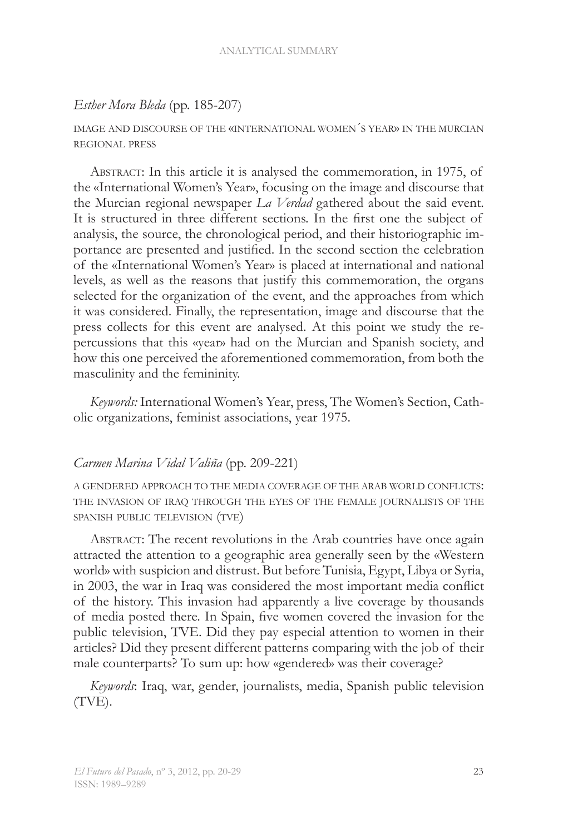#### ANALYTICAL SUMMARY

### *Esther Mora Bleda* (pp. 185-207)

### image and discourse of the «international women´s year» in the murcian regional press

Abstract: In this article it is analysed the commemoration, in 1975, of the «International Women's Year», focusing on the image and discourse that the Murcian regional newspaper *La Verdad* gathered about the said event. It is structured in three different sections. In the first one the subject of analysis, the source, the chronological period, and their historiographic importance are presented and justified. In the second section the celebration of the «International Women's Year» is placed at international and national levels, as well as the reasons that justify this commemoration, the organs selected for the organization of the event, and the approaches from which it was considered. Finally, the representation, image and discourse that the press collects for this event are analysed. At this point we study the repercussions that this «year» had on the Murcian and Spanish society, and how this one perceived the aforementioned commemoration, from both the masculinity and the femininity.

*Keywords:* International Women's Year, press, The Women's Section, Catholic organizations, feminist associations, year 1975.

### *Carmen Marina Vidal Valiña* (pp. 209-221)

a gendered approach to the media coverage of the arab world conflicts: the invasion of iraq through the eyes of the female journalists of the spanish public television (tve)

ABSTRACT: The recent revolutions in the Arab countries have once again attracted the attention to a geographic area generally seen by the «Western world» with suspicion and distrust. But before Tunisia, Egypt, Libya or Syria, in 2003, the war in Iraq was considered the most important media conflict of the history. This invasion had apparently a live coverage by thousands of media posted there. In Spain, five women covered the invasion for the public television, TVE. Did they pay especial attention to women in their articles? Did they present different patterns comparing with the job of their male counterparts? To sum up: how «gendered» was their coverage?

*Keywords*: Iraq, war, gender, journalists, media, Spanish public television (TVE).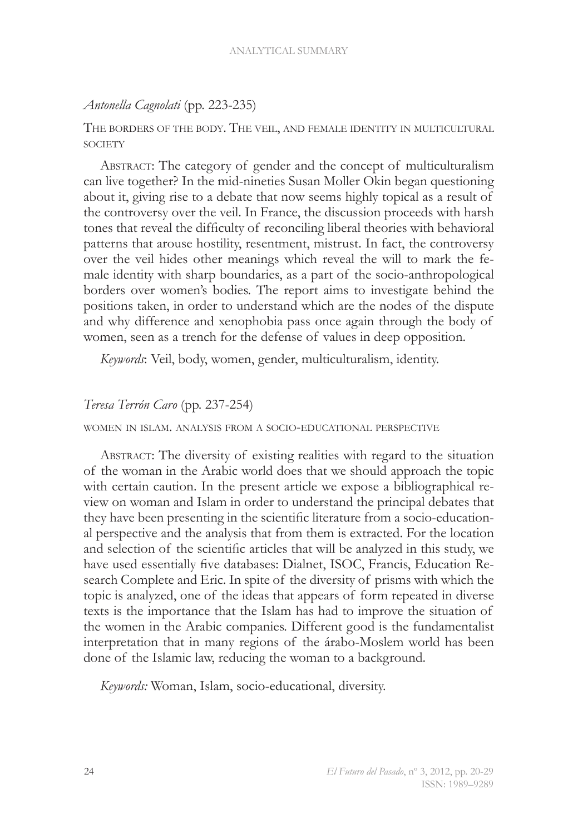### *Antonella Cagnolati* (pp. 223-235)

The borders of the body. The veil, and female identity in multicultural **SOCIETY** 

Abstract: The category of gender and the concept of multiculturalism can live together? In the mid-nineties Susan Moller Okin began questioning about it, giving rise to a debate that now seems highly topical as a result of the controversy over the veil. In France, the discussion proceeds with harsh tones that reveal the difficulty of reconciling liberal theories with behavioral patterns that arouse hostility, resentment, mistrust. In fact, the controversy over the veil hides other meanings which reveal the will to mark the female identity with sharp boundaries, as a part of the socio-anthropological borders over women's bodies. The report aims to investigate behind the positions taken, in order to understand which are the nodes of the dispute and why difference and xenophobia pass once again through the body of women, seen as a trench for the defense of values in deep opposition.

*Keywords*: Veil, body, women, gender, multiculturalism, identity.

### *Teresa Terrón Caro* (pp. 237-254)

women in islam. analysis from a socio-educational perspective

Abstract: The diversity of existing realities with regard to the situation of the woman in the Arabic world does that we should approach the topic with certain caution. In the present article we expose a bibliographical review on woman and Islam in order to understand the principal debates that they have been presenting in the scientific literature from a socio-educational perspective and the analysis that from them is extracted. For the location and selection of the scientific articles that will be analyzed in this study, we have used essentially five databases: Dialnet, ISOC, Francis, Education Research Complete and Eric. In spite of the diversity of prisms with which the topic is analyzed, one of the ideas that appears of form repeated in diverse texts is the importance that the Islam has had to improve the situation of the women in the Arabic companies. Different good is the fundamentalist interpretation that in many regions of the árabo-Moslem world has been done of the Islamic law, reducing the woman to a background.

*Keywords:* Woman, Islam, socio-educational, diversity.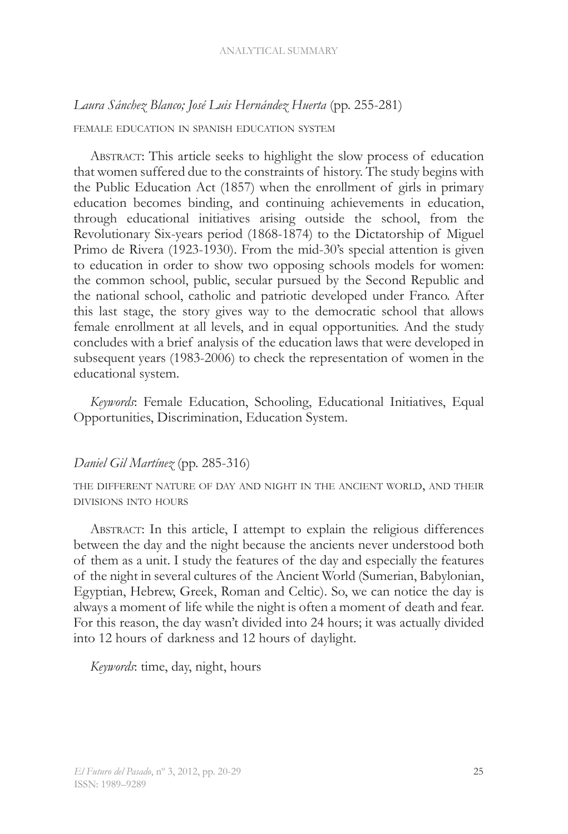# *Laura Sánchez Blanco; José Luis Hernández Huerta* (pp. 255-281)

### female education in spanish education system

ABSTRACT: This article seeks to highlight the slow process of education that women suffered due to the constraints of history. The study begins with the Public Education Act (1857) when the enrollment of girls in primary education becomes binding, and continuing achievements in education, through educational initiatives arising outside the school, from the Revolutionary Six-years period (1868-1874) to the Dictatorship of Miguel Primo de Rivera (1923-1930). From the mid-30's special attention is given to education in order to show two opposing schools models for women: the common school, public, secular pursued by the Second Republic and the national school, catholic and patriotic developed under Franco. After this last stage, the story gives way to the democratic school that allows female enrollment at all levels, and in equal opportunities. And the study concludes with a brief analysis of the education laws that were developed in subsequent years (1983-2006) to check the representation of women in the educational system.

*Keywords*: Female Education, Schooling, Educational Initiatives, Equal Opportunities, Discrimination, Education System.

### *Daniel Gil Martínez* (pp. 285-316)

the different nature of day and night in the ancient world, and their divisions into hours

ABSTRACT: In this article, I attempt to explain the religious differences between the day and the night because the ancients never understood both of them as a unit. I study the features of the day and especially the features of the night in several cultures of the Ancient World (Sumerian, Babylonian, Egyptian, Hebrew, Greek, Roman and Celtic). So, we can notice the day is always a moment of life while the night is often a moment of death and fear. For this reason, the day wasn't divided into 24 hours; it was actually divided into 12 hours of darkness and 12 hours of daylight.

*Keywords*: time, day, night, hours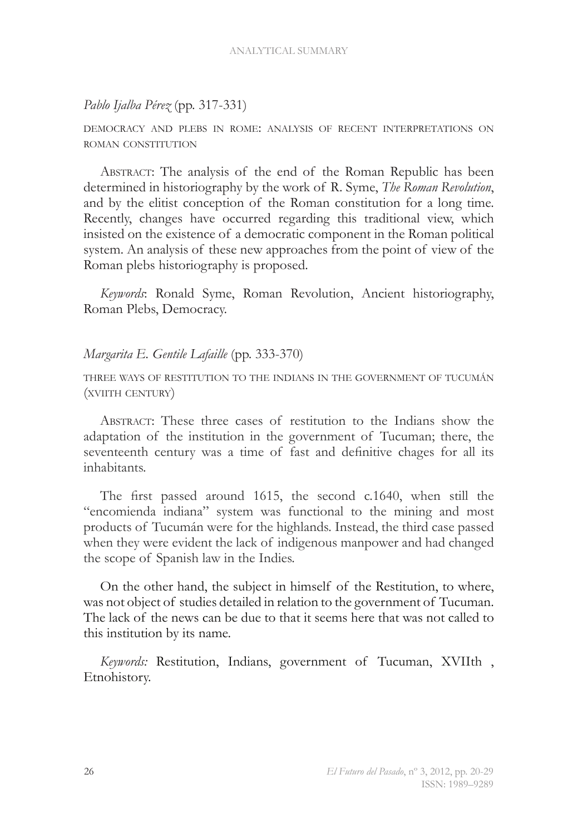### *Pablo Ijalba Pérez* (pp. 317-331)

democracy and plebs in rome: analysis of recent interpretations on roman constitution

Abstract: The analysis of the end of the Roman Republic has been determined in historiography by the work of R. Syme, *The Roman Revolution*, and by the elitist conception of the Roman constitution for a long time. Recently, changes have occurred regarding this traditional view, which insisted on the existence of a democratic component in the Roman political system. An analysis of these new approaches from the point of view of the Roman plebs historiography is proposed.

*Keywords*: Ronald Syme, Roman Revolution, Ancient historiography, Roman Plebs, Democracy.

### *Margarita E. Gentile Lafaille* (pp. 333-370)

three ways of restitution to the indians in the government of tucumán (xviith century)

Abstract: These three cases of restitution to the Indians show the adaptation of the institution in the government of Tucuman; there, the seventeenth century was a time of fast and definitive chages for all its inhabitants.

The first passed around 1615, the second c.1640, when still the "encomienda indiana" system was functional to the mining and most products of Tucumán were for the highlands. Instead, the third case passed when they were evident the lack of indigenous manpower and had changed the scope of Spanish law in the Indies.

On the other hand, the subject in himself of the Restitution, to where, was not object of studies detailed in relation to the government of Tucuman. The lack of the news can be due to that it seems here that was not called to this institution by its name.

*Keywords:* Restitution, Indians, government of Tucuman, XVIIth , Etnohistory.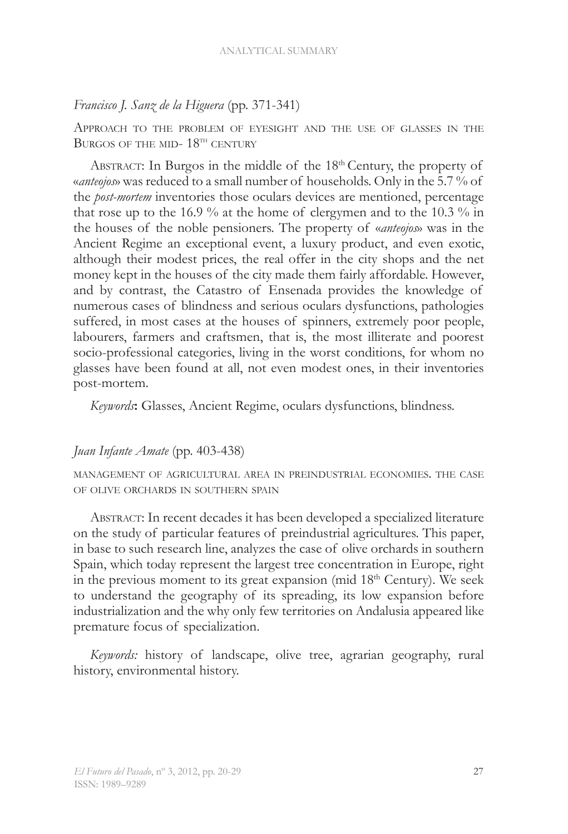### *Francisco J. Sanz de la Higuera* (pp. 371-341)

Approach to the problem of eyesight and the use of glasses in the BURGOS OF THE MID-  $18^{\text{th}}$  CENTURY

ABSTRACT: In Burgos in the middle of the 18<sup>th</sup> Century, the property of «*anteojos*» was reduced to a small number of households. Only in the 5.7 % of the *post-mortem* inventories those oculars devices are mentioned, percentage that rose up to the 16.9 % at the home of clergymen and to the 10.3 % in the houses of the noble pensioners. The property of «*anteojos*» was in the Ancient Regime an exceptional event, a luxury product, and even exotic, although their modest prices, the real offer in the city shops and the net money kept in the houses of the city made them fairly affordable. However, and by contrast, the Catastro of Ensenada provides the knowledge of numerous cases of blindness and serious oculars dysfunctions, pathologies suffered, in most cases at the houses of spinners, extremely poor people, labourers, farmers and craftsmen, that is, the most illiterate and poorest socio-professional categories, living in the worst conditions, for whom no glasses have been found at all, not even modest ones, in their inventories post-mortem.

*Keywords***:** Glasses, Ancient Regime, oculars dysfunctions, blindness.

### *Juan Infante Amate* (pp. 403-438)

management of agricultural area in preindustrial economies. the case of olive orchards in southern spain

Abstract: In recent decades it has been developed a specialized literature on the study of particular features of preindustrial agricultures. This paper, in base to such research line, analyzes the case of olive orchards in southern Spain, which today represent the largest tree concentration in Europe, right in the previous moment to its great expansion (mid  $18<sup>th</sup>$  Century). We seek to understand the geography of its spreading, its low expansion before industrialization and the why only few territories on Andalusia appeared like premature focus of specialization.

*Keywords:* history of landscape, olive tree, agrarian geography, rural history, environmental history.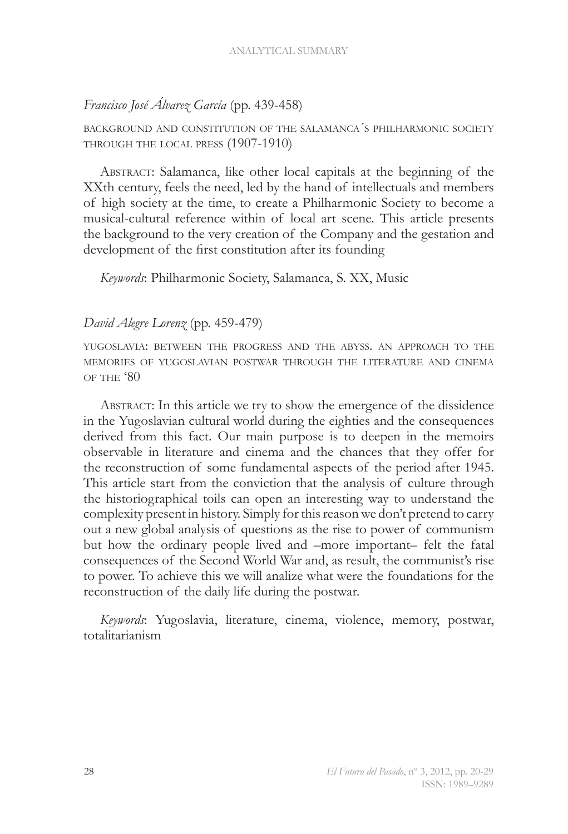# *Francisco José Álvarez García* (pp. 439-458)

background and constitution of the salamanca´s philharmonic society through the local press (1907-1910)

Abstract: Salamanca, like other local capitals at the beginning of the XXth century, feels the need, led by the hand of intellectuals and members of high society at the time, to create a Philharmonic Society to become a musical-cultural reference within of local art scene. This article presents the background to the very creation of the Company and the gestation and development of the first constitution after its founding

*Keywords*: Philharmonic Society, Salamanca, S. XX, Music

### *David Alegre Lorenz* (pp. 459-479)

yugoslavia: between the progress and the abyss. an approach to the memories of yugoslavian postwar through the literature and cinema of the '80

Abstract: In this article we try to show the emergence of the dissidence in the Yugoslavian cultural world during the eighties and the consequences derived from this fact. Our main purpose is to deepen in the memoirs observable in literature and cinema and the chances that they offer for the reconstruction of some fundamental aspects of the period after 1945. This article start from the conviction that the analysis of culture through the historiographical toils can open an interesting way to understand the complexity present in history. Simply for this reason we don't pretend to carry out a new global analysis of questions as the rise to power of communism but how the ordinary people lived and –more important– felt the fatal consequences of the Second World War and, as result, the communist's rise to power. To achieve this we will analize what were the foundations for the reconstruction of the daily life during the postwar.

*Keywords*: Yugoslavia, literature, cinema, violence, memory, postwar, totalitarianism